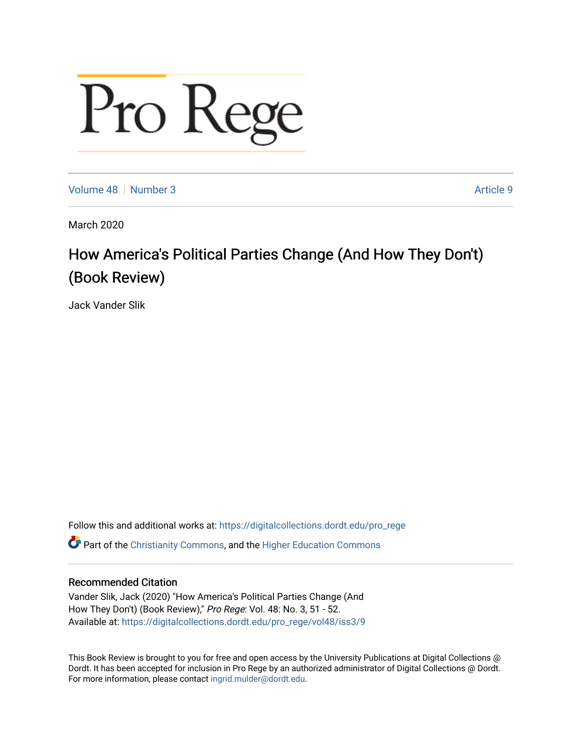## Pro Rege

[Volume 48](https://digitalcollections.dordt.edu/pro_rege/vol48) [Number 3](https://digitalcollections.dordt.edu/pro_rege/vol48/iss3) Article 9

March 2020

## How America's Political Parties Change (And How They Don't) (Book Review)

Jack Vander Slik

Follow this and additional works at: [https://digitalcollections.dordt.edu/pro\\_rege](https://digitalcollections.dordt.edu/pro_rege?utm_source=digitalcollections.dordt.edu%2Fpro_rege%2Fvol48%2Fiss3%2F9&utm_medium=PDF&utm_campaign=PDFCoverPages) 

Part of the [Christianity Commons,](http://network.bepress.com/hgg/discipline/1181?utm_source=digitalcollections.dordt.edu%2Fpro_rege%2Fvol48%2Fiss3%2F9&utm_medium=PDF&utm_campaign=PDFCoverPages) and the [Higher Education Commons](http://network.bepress.com/hgg/discipline/1245?utm_source=digitalcollections.dordt.edu%2Fpro_rege%2Fvol48%2Fiss3%2F9&utm_medium=PDF&utm_campaign=PDFCoverPages) 

## Recommended Citation

Vander Slik, Jack (2020) "How America's Political Parties Change (And How They Don't) (Book Review)," Pro Rege: Vol. 48: No. 3, 51 - 52. Available at: [https://digitalcollections.dordt.edu/pro\\_rege/vol48/iss3/9](https://digitalcollections.dordt.edu/pro_rege/vol48/iss3/9?utm_source=digitalcollections.dordt.edu%2Fpro_rege%2Fvol48%2Fiss3%2F9&utm_medium=PDF&utm_campaign=PDFCoverPages) 

This Book Review is brought to you for free and open access by the University Publications at Digital Collections @ Dordt. It has been accepted for inclusion in Pro Rege by an authorized administrator of Digital Collections @ Dordt. For more information, please contact [ingrid.mulder@dordt.edu](mailto:ingrid.mulder@dordt.edu).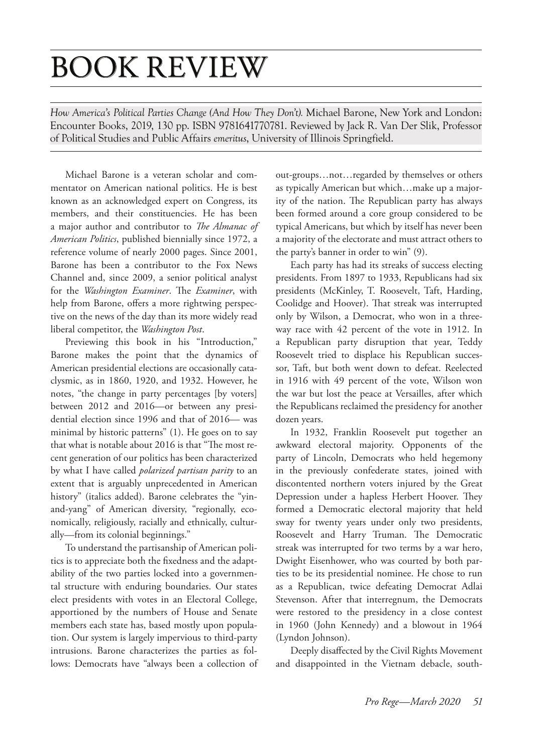## BOOK REVIEW

*How America's Political Parties Change (And How They Don't).* Michael Barone, New York and London: Encounter Books, 2019, 130 pp. ISBN 9781641770781. Reviewed by Jack R. Van Der Slik, Professor of Political Studies and Public Affairs *emeritus*, University of Illinois Springfield.

Michael Barone is a veteran scholar and commentator on American national politics. He is best known as an acknowledged expert on Congress, its members, and their constituencies. He has been a major author and contributor to *The Almanac of American Politics*, published biennially since 1972, a reference volume of nearly 2000 pages. Since 2001, Barone has been a contributor to the Fox News Channel and, since 2009, a senior political analyst for the *Washington Examiner*. The *Examiner*, with help from Barone, offers a more rightwing perspective on the news of the day than its more widely read liberal competitor, the *Washington Post*.

Previewing this book in his "Introduction," Barone makes the point that the dynamics of American presidential elections are occasionally cataclysmic, as in 1860, 1920, and 1932. However, he notes, "the change in party percentages [by voters] between 2012 and 2016—or between any presidential election since 1996 and that of 2016— was minimal by historic patterns" (1). He goes on to say that what is notable about 2016 is that "The most recent generation of our politics has been characterized by what I have called *polarized partisan parity* to an extent that is arguably unprecedented in American history" (italics added). Barone celebrates the "yinand-yang" of American diversity, "regionally, economically, religiously, racially and ethnically, culturally—from its colonial beginnings."

To understand the partisanship of American politics is to appreciate both the fixedness and the adaptability of the two parties locked into a governmental structure with enduring boundaries. Our states elect presidents with votes in an Electoral College, apportioned by the numbers of House and Senate members each state has, based mostly upon population. Our system is largely impervious to third-party intrusions. Barone characterizes the parties as follows: Democrats have "always been a collection of out-groups…not…regarded by themselves or others as typically American but which…make up a majority of the nation. The Republican party has always been formed around a core group considered to be typical Americans, but which by itself has never been a majority of the electorate and must attract others to the party's banner in order to win" (9).

Each party has had its streaks of success electing presidents. From 1897 to 1933, Republicans had six presidents (McKinley, T. Roosevelt, Taft, Harding, Coolidge and Hoover). That streak was interrupted only by Wilson, a Democrat, who won in a threeway race with 42 percent of the vote in 1912. In a Republican party disruption that year, Teddy Roosevelt tried to displace his Republican successor, Taft, but both went down to defeat. Reelected in 1916 with 49 percent of the vote, Wilson won the war but lost the peace at Versailles, after which the Republicans reclaimed the presidency for another dozen years.

In 1932, Franklin Roosevelt put together an awkward electoral majority. Opponents of the party of Lincoln, Democrats who held hegemony in the previously confederate states, joined with discontented northern voters injured by the Great Depression under a hapless Herbert Hoover. They formed a Democratic electoral majority that held sway for twenty years under only two presidents, Roosevelt and Harry Truman. The Democratic streak was interrupted for two terms by a war hero, Dwight Eisenhower, who was courted by both parties to be its presidential nominee. He chose to run as a Republican, twice defeating Democrat Adlai Stevenson. After that interregnum, the Democrats were restored to the presidency in a close contest in 1960 (John Kennedy) and a blowout in 1964 (Lyndon Johnson).

Deeply disaffected by the Civil Rights Movement and disappointed in the Vietnam debacle, south